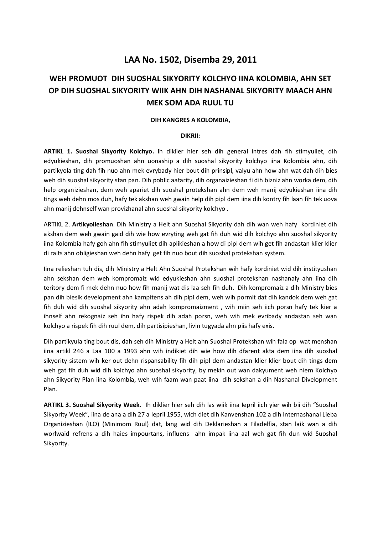## **LAA No. 1502, Disemba 29, 2011**

# **WEH PROMUOT DIH SUOSHAL SIKYORITY KOLCHYO IINA KOLOMBIA, AHN SET OP DIH SUOSHAL SIKYORITY WIIK AHN DIH NASHANAL SIKYORITY MAACH AHN MEK SOM ADA RUUL TU**

#### **DIH KANGRES A KOLOMBIA,**

#### **DIKRII:**

**ARTIKL 1. Suoshal Sikyority Kolchyo.** Ih diklier hier seh dih general intres dah fih stimyuliet, dih edyukieshan, dih promuoshan ahn uonaship a dih suoshal sikyority kolchyo iina Kolombia ahn, dih partikyola ting dah fih nuo ahn mek evrybady hier bout dih prinsipl, valyu ahn how ahn wat dah dih bies weh dih suoshal sikyority stan pan. Dih poblic aatarity, dih organaizieshan fi dih bizniz ahn worka dem, dih help organizieshan, dem weh apariet dih suoshal protekshan ahn dem weh manij edyukieshan iina dih tings weh dehn mos duh, hafy tek akshan weh gwain help dih pipl dem iina dih kontry fih laan fih tek uova ahn manij dehnself wan provizhanal ahn suoshal sikyority kolchyo .

ARTIKL 2. **Artikyolieshan**. Dih Ministry a Helt ahn Suoshal Sikyority dah dih wan weh hafy kordiniet dih akshan dem weh gwain gaid dih wie how evryting weh gat fih duh wid dih kolchyo ahn suoshal sikyority iina Kolombia hafy goh ahn fih stimyuliet dih aplikieshan a how di pipl dem wih get fih andastan klier klier di raits ahn obligieshan weh dehn hafy get fih nuo bout dih suoshal protekshan system.

Iina relieshan tuh dis, dih Ministry a Helt Ahn Suoshal Protekshan wih hafy kordiniet wid dih instityushan ahn sekshan dem weh kompromaiz wid edyukieshan ahn suoshal protekshan nashanaly ahn iina dih teritory dem fi mek dehn nuo how fih manij wat dis laa seh fih duh. Dih kompromaiz a dih Ministry bies pan dih biesik development ahn kampitens ah dih pipl dem, weh wih pormit dat dih kandok dem weh gat fih duh wid dih suoshal sikyority ahn adah kompromaizment , wih miin seh iich porsn hafy tek kier a ihnself ahn rekognaiz seh ihn hafy rispek dih adah porsn, weh wih mek evribady andastan seh wan kolchyo a rispek fih dih ruul dem, dih partisipieshan, livin tugyada ahn piis hafy exis.

Dih partikyula ting bout dis, dah seh dih Ministry a Helt ahn Suoshal Protekshan wih fala op wat menshan iina artikl 246 a Laa 100 a 1993 ahn wih indikiet dih wie how dih dfarent akta dem iina dih suoshal sikyority sistem wih ker out dehn rispansability fih dih pipl dem andastan klier klier bout dih tings dem weh gat fih duh wid dih kolchyo ahn suoshal sikyority, by mekin out wan dakyument weh niem Kolchyo ahn Sikyority Plan iina Kolombia, weh wih faam wan paat iina dih sekshan a dih Nashanal Divelopment Plan.

**ARTIKL 3. Suoshal Sikyority Week.** Ih diklier hier seh dih las wiik iina Iepril iich yier wih bii dih "Suoshal Sikyority Week", iina de ana a dih 27 a Iepril 1955, wich diet dih Kanvenshan 102 a dih Internashanal Lieba Organizieshan (ILO) (Minimom Ruul) dat, lang wid dih Deklarieshan a Filadelfia, stan laik wan a dih worlwaid refrens a dih haies impourtans, influens ahn impak iina aal weh gat fih dun wid Suoshal Sikyority.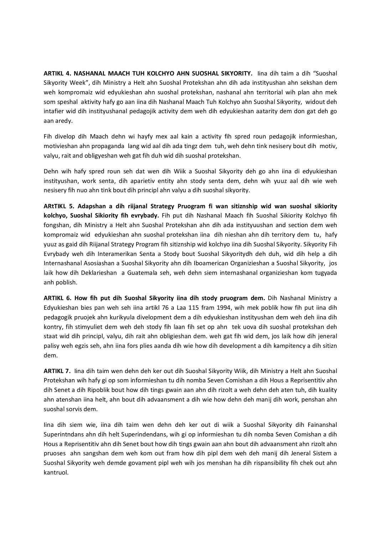**ARTIKL 4. NASHANAL MAACH TUH KOLCHYO AHN SUOSHAL SIKYORITY.** Iina dih taim a dih "Suoshal Sikyority Week", dih Ministry a Helt ahn Suoshal Protekshan ahn dih ada instityushan ahn sekshan dem weh kompromaiz wid edyukieshan ahn suoshal protekshan, nashanal ahn territorial wih plan ahn mek som speshal aktivity hafy go aan iina dih Nashanal Maach Tuh Kolchyo ahn Suoshal Sikyority, widout deh intafier wid dih instityushanal pedagojik activity dem weh dih edyukieshan aatarity dem don gat deh go aan aredy.

Fih divelop dih Maach dehn wi hayfy mex aal kain a activity fih spred roun pedagojik informieshan, motivieshan ahn propaganda lang wid aal dih ada tingz dem tuh, weh dehn tink nesisery bout dih motiv, valyu, rait and obligyeshan weh gat fih duh wid dih suoshal protekshan.

Dehn wih hafy spred roun seh dat wen dih Wiik a Suoshal Sikyority deh go ahn iina di edyukieshan instityushan, work senta, dih aparietiv entity ahn stody senta dem, dehn wih yuuz aal dih wie weh nesisery fih nuo ahn tink bout dih principl ahn valyu a dih suoshal sikyority.

**ARtTIKL 5. Adapshan a dih riijanal Strategy Pruogram fi wan sitiznship wid wan suoshal sikiority kolchyo, Suoshal Sikiority fih evrybady.** Fih put dih Nashanal Maach fih Suoshal Sikiority Kolchyo fih fongshan, dih Ministry a Helt ahn Suoshal Protekshan ahn dih ada instityuushan and section dem weh kompromaiz wid edyukieshan ahn suoshal protekshan iina dih nieshan ahn dih territory dem tu, hafy yuuz as gaid dih Riijanal Strategy Program fih sitiznship wid kolchyo iina dih Suoshal Sikyority. Sikyority Fih Evrybady weh dih Interamerikan Senta a Stody bout Suoshal Sikyoritydh deh duh, wid dih help a dih Internashanal Asosiashan a Suoshal Sikyority ahn dih Iboamerican Organizieshan a Suoshal Sikyority, jos laik how dih Deklarieshan a Guatemala seh, weh dehn siem internashanal organizieshan kom tugyada anh poblish.

**ARTIKL 6. How fih put dih Suoshal Sikyority iina dih stody pruogram dem.** Dih Nashanal Ministry a Edyukieshan bies pan weh seh iina artikl 76 a Laa 115 fram 1994, wih mek poblik how fih put iina dih pedagogik pruojek ahn kurikyula divelopment dem a dih edyukieshan instityushan dem weh deh iina dih kontry, fih stimyuliet dem weh deh stody fih laan fih set op ahn tek uova dih suoshal protekshan deh staat wid dih principl, valyu, dih rait ahn obligieshan dem. weh gat fih wid dem, jos laik how dih jeneral palisy weh egzis seh, ahn iina fors plies aanda dih wie how dih development a dih kampitency a dih sitizn dem.

**ARTIKL 7.** Iina dih taim wen dehn deh ker out dih Suoshal Sikyority Wiik, dih Ministry a Helt ahn Suoshal Protekshan wih hafy gi op som informieshan tu dih nomba Seven Comishan a dih Hous a Reprisentitiv ahn dih Senet a dih Ripoblik bout how dih tings gwain aan ahn dih rizolt a weh dehn deh aten tuh, dih kuality ahn atenshan iina helt, ahn bout dih advaansment a dih wie how dehn deh manij dih work, penshan ahn suoshal sorvis dem.

Iina dih siem wie, iina dih taim wen dehn deh ker out di wiik a Suoshal Sikyority dih Fainanshal Superintndans ahn dih helt Superindendans, wih gi op informieshan tu dih nomba Seven Comishan a dih Hous a Reprisentitiv ahn dih Senet bout how dih tings gwain aan ahn bout dih advaansment ahn rizolt ahn pruoses ahn sangshan dem weh kom out fram how dih pipl dem weh deh manij dih Jeneral Sistem a Suoshal Sikyority weh demde govament pipl weh wih jos menshan ha dih rispansibility fih chek out ahn kantruol.